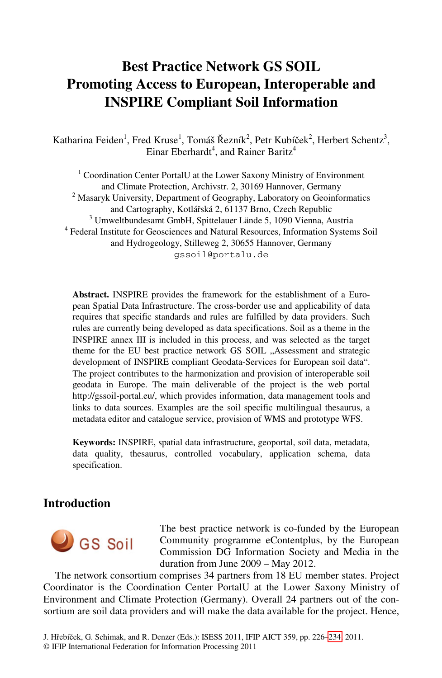# **Best Practice Network GS SOIL Promoting Access to European, Interoperable and INSPIRE Compliant Soil Information**

Katharina Feiden<sup>1</sup>, Fred Kruse<sup>1</sup>, Tomáš Řezník<sup>2</sup>, Petr Kubíček<sup>2</sup>, Herbert Schentz<sup>3</sup>, Einar Eberhardt<sup>4</sup>, and Rainer Baritz<sup>4</sup>

<sup>1</sup> Coordination Center PortalU at the Lower Saxony Ministry of Environment and Climate Protection, Archivstr. 2, 30169 Hannover, Germany 2  $2$  Masaryk University, Department of Geography, Laboratory on Geoinformatics and Cartography, Kotlá<sup>ř</sup>ská 2, 61137 Brno, Czech Republic 3 Umweltbundesamt GmbH, Spittelauer Lände 5, 1090 Vienna, Austria 4 <sup>4</sup> Federal Institute for Geosciences and Natural Resources, Information Systems Soil and Hydrogeology, Stilleweg 2, 30655 Hannover, Germany gssoil@portalu.de

**Abstract.** INSPIRE provides the framework for the establishment of a European Spatial Data Infrastructure. The cross-border use and applicability of data requires that specific standards and rules are fulfilled by data providers. Such rules are currently being developed as data specifications. Soil as a theme in the INSPIRE annex III is included in this process, and was selected as the target theme for the EU best practice network GS SOIL "Assessment and strategic development of INSPIRE compliant Geodata-Services for European soil data". The project contributes to the harmonization and provision of interoperable soil geodata in Europe. The main deliverable of the project is the web portal http://gssoil-portal.eu/, which provides information, data management tools and links to data sources. Examples are the soil specific multilingual thesaurus, a metadata editor and catalogue service, provision of WMS and prototype WFS.

**Keywords:** INSPIRE, spatial data infrastructure, geoportal, soil data, metadata, data quality, thesaurus, controlled vocabulary, application schema, data specification.

## **Introduction**



The best practice network is co-funded by the European Community progra[mme](#page-8-0) eContentplus, by the European Commission DG Information Society and Media in the duration from June 2009 – May 2012.

The network consortium comprises 34 partners from 18 EU member states. Project Coordinator is the Coordination Center PortalU at the Lower Saxony Ministry of Environment and Climate Protection (Germany). Overall 24 partners out of the consortium are soil data providers and will make the data available for the project. Hence,

J. Hřebíček, G. Schimak, and R. Denzer (Eds.): ISESS 2011, IFIP AICT 359, pp. 226–234, 2011.

<sup>©</sup> IFIP International Federation for Information Processing 2011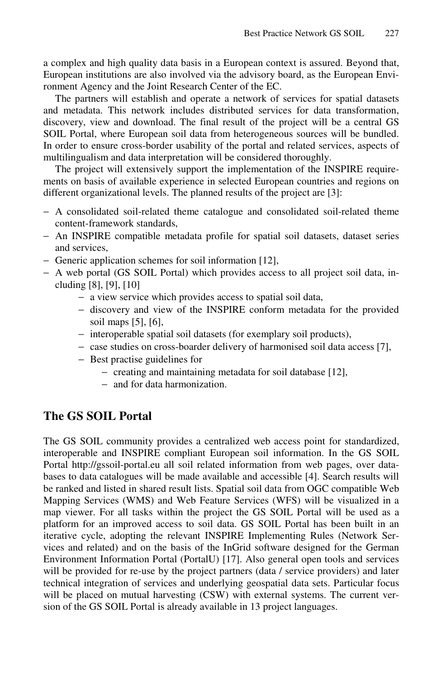a complex and high quality data basis in a European context is assured. Beyond that, European institutions are also involved via the advisory board, as the European Environment Agency and the Joint Research Center of the EC.

The partners will establish and operate a network of services for spatial datasets and metadata. This network includes distributed services for data transformation, discovery, view and download. The final result of the project will be a central GS SOIL Portal, where European soil data from heterogeneous sources will be bundled. In order to ensure cross-border usability of the portal and related services, aspects of multilingualism and data interpretation will be considered thoroughly.

The project will extensively support the implementation of the INSPIRE requirements on basis of available experience in selected European countries and regions on different organizational levels. The planned results of the project are [3]:

- − A consolidated soil-related theme catalogue and consolidated soil-related theme content-framework standards,
- − An INSPIRE compatible metadata profile for spatial soil datasets, dataset series and services,
- − Generic application schemes for soil information [12],
- − A web portal (GS SOIL Portal) which provides access to all project soil data, including [8], [9], [10]
	- − a view service which provides access to spatial soil data,
	- − discovery and view of the INSPIRE conform metadata for the provided soil maps [5], [6],
	- − interoperable spatial soil datasets (for exemplary soil products),
	- − case studies on cross-boarder delivery of harmonised soil data access [7],
	- − Best practise guidelines for
		- − creating and maintaining metadata for soil database [12],
		- − and for data harmonization.

#### **The GS SOIL Portal**

The GS SOIL community provides a centralized web access point for standardized, interoperable and INSPIRE compliant European soil information. In the GS SOIL Portal http://gssoil-portal.eu all soil related information from web pages, over databases to data catalogues will be made available and accessible [4]. Search results will be ranked and listed in shared result lists. Spatial soil data from OGC compatible Web Mapping Services (WMS) and Web Feature Services (WFS) will be visualized in a map viewer. For all tasks within the project the GS SOIL Portal will be used as a platform for an improved access to soil data. GS SOIL Portal has been built in an iterative cycle, adopting the relevant INSPIRE Implementing Rules (Network Services and related) and on the basis of the InGrid software designed for the German Environment Information Portal (PortalU) [17]. Also general open tools and services will be provided for re-use by the project partners (data / service providers) and later technical integration of services and underlying geospatial data sets. Particular focus will be placed on mutual harvesting (CSW) with external systems. The current version of the GS SOIL Portal is already available in 13 project languages.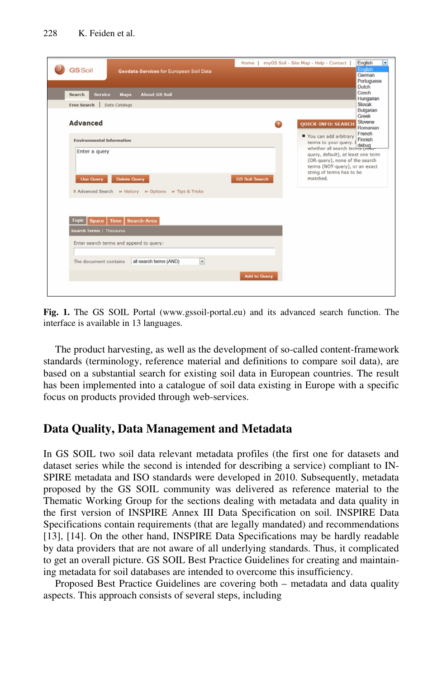| <b>GS</b> Soil<br><b>Geodata-Services for European Soil Data</b>                                                                           | Home                  | English<br>myGS Soil - Site Map - Help - Contact  <br>۰<br><b>English</b><br>German                                                                                                                                                                                             |
|--------------------------------------------------------------------------------------------------------------------------------------------|-----------------------|---------------------------------------------------------------------------------------------------------------------------------------------------------------------------------------------------------------------------------------------------------------------------------|
| <b>Search</b><br><b>Service</b><br><b>About GS Soil</b><br><b>Maps</b><br>Data Catalogs<br>Free Search                                     |                       | Portuguese<br>Dutch<br>Czech<br>Hungarian<br>Slovak<br>Bulgarian<br>Greek                                                                                                                                                                                                       |
| <b>Advanced</b>                                                                                                                            |                       | Slovene<br><b>QUICK-INFO: SEARCH</b><br>Romanian<br>French                                                                                                                                                                                                                      |
| <b>Environmental Information</b><br>Enter a query<br><b>Use Query</b><br><b>Delete Query</b>                                               | <b>GS Soil Search</b> | You can add arbitrary<br>Finnish<br>terms to your query.<br>terms to your query. I debug<br>whether all search terms through<br>query, default), at least one term<br>(OR-query), none of the search<br>terms (NOT-query), or an exact<br>string of terms has to be<br>matched. |
| & Advanced Search >> History >> Options >> Tips & Tricks<br><b>Topic</b><br>Time   Search-Area<br><b>Space</b><br>Search Terms   Thesaurus |                       |                                                                                                                                                                                                                                                                                 |
| Enter search terms and append to query:                                                                                                    |                       |                                                                                                                                                                                                                                                                                 |
| E<br>all search terms (AND)<br>The document contains                                                                                       | <b>Add to Query</b>   |                                                                                                                                                                                                                                                                                 |
|                                                                                                                                            |                       |                                                                                                                                                                                                                                                                                 |

**Fig. 1.** The GS SOIL Portal (www.gssoil-portal.eu) and its advanced search function. The interface is available in 13 languages.

The product harvesting, as well as the development of so-called content-framework standards (terminology, reference material and definitions to compare soil data), are based on a substantial search for existing soil data in European countries. The result has been implemented into a catalogue of soil data existing in Europe with a specific focus on products provided through web-services.

# **Data Quality, Data Management and Metadata**

In GS SOIL two soil data relevant metadata profiles (the first one for datasets and dataset series while the second is intended for describing a service) compliant to IN-SPIRE metadata and ISO standards were developed in 2010. Subsequently, metadata proposed by the GS SOIL community was delivered as reference material to the Thematic Working Group for the sections dealing with metadata and data quality in the first version of INSPIRE Annex III Data Specification on soil. INSPIRE Data Specifications contain requirements (that are legally mandated) and recommendations [13], [14]. On the other hand, INSPIRE Data Specifications may be hardly readable by data providers that are not aware of all underlying standards. Thus, it complicated to get an overall picture. GS SOIL Best Practice Guidelines for creating and maintaining metadata for soil databases are intended to overcome this insufficiency.

Proposed Best Practice Guidelines are covering both – metadata and data quality aspects. This approach consists of several steps, including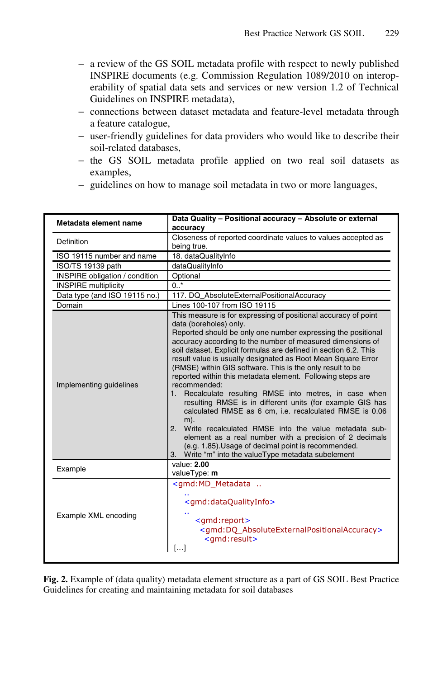- − a review of the GS SOIL metadata profile with respect to newly published INSPIRE documents (e.g. Commission Regulation 1089/2010 on interoperability of spatial data sets and services or new version 1.2 of Technical Guidelines on INSPIRE metadata),
- − connections between dataset metadata and feature-level metadata through a feature catalogue,
- − user-friendly guidelines for data providers who would like to describe their soil-related databases,
- − the GS SOIL metadata profile applied on two real soil datasets as examples,
- − guidelines on how to manage soil metadata in two or more languages,

| Metadata element name                 | Data Quality - Positional accuracy - Absolute or external<br>accuracy                                                                                                                                                                                                                                                                                                                                                                                                                                                                                                                                                                                                                                                                                                                                                                                                                                                                     |  |
|---------------------------------------|-------------------------------------------------------------------------------------------------------------------------------------------------------------------------------------------------------------------------------------------------------------------------------------------------------------------------------------------------------------------------------------------------------------------------------------------------------------------------------------------------------------------------------------------------------------------------------------------------------------------------------------------------------------------------------------------------------------------------------------------------------------------------------------------------------------------------------------------------------------------------------------------------------------------------------------------|--|
| Definition                            | Closeness of reported coordinate values to values accepted as<br>being true.                                                                                                                                                                                                                                                                                                                                                                                                                                                                                                                                                                                                                                                                                                                                                                                                                                                              |  |
| ISO 19115 number and name             | 18. dataQualityInfo                                                                                                                                                                                                                                                                                                                                                                                                                                                                                                                                                                                                                                                                                                                                                                                                                                                                                                                       |  |
| ISO/TS 19139 path                     | dataQualityInfo                                                                                                                                                                                                                                                                                                                                                                                                                                                                                                                                                                                                                                                                                                                                                                                                                                                                                                                           |  |
| <b>INSPIRE obligation / condition</b> | Optional                                                                                                                                                                                                                                                                                                                                                                                                                                                                                                                                                                                                                                                                                                                                                                                                                                                                                                                                  |  |
| <b>INSPIRE</b> multiplicity           | $0.7*$                                                                                                                                                                                                                                                                                                                                                                                                                                                                                                                                                                                                                                                                                                                                                                                                                                                                                                                                    |  |
| Data type (and ISO 19115 no.)         | 117. DQ_AbsoluteExternalPositionalAccuracy                                                                                                                                                                                                                                                                                                                                                                                                                                                                                                                                                                                                                                                                                                                                                                                                                                                                                                |  |
| Domain                                | Lines 100-107 from ISO 19115                                                                                                                                                                                                                                                                                                                                                                                                                                                                                                                                                                                                                                                                                                                                                                                                                                                                                                              |  |
| Implementing guidelines               | This measure is for expressing of positional accuracy of point<br>data (boreholes) only.<br>Reported should be only one number expressing the positional<br>accuracy according to the number of measured dimensions of<br>soil dataset. Explicit formulas are defined in section 6.2. This<br>result value is usually designated as Root Mean Square Error<br>(RMSE) within GIS software. This is the only result to be<br>reported within this metadata element. Following steps are<br>recommended:<br>Recalculate resulting RMSE into metres, in case when<br>1.<br>resulting RMSE is in different units (for example GIS has<br>calculated RMSE as 6 cm, i.e. recalculated RMSE is 0.06<br>$m$ ).<br>2. Write recalculated RMSE into the value metadata sub-<br>element as a real number with a precision of 2 decimals<br>(e.g. 1.85). Usage of decimal point is recommended.<br>3. Write "m" into the valueType metadata subelement |  |
| Example                               | value: 2.00<br>valueType: m                                                                                                                                                                                                                                                                                                                                                                                                                                                                                                                                                                                                                                                                                                                                                                                                                                                                                                               |  |
| Example XML encoding                  | <gmd:md <br="" metadata=""><gmd:dataqualityinfo><br/><gmd:report><br/><gmd:dq absoluteexternalpositionalaccuracy=""><br/><gmd:result></gmd:result></gmd:dq></gmd:report></gmd:dataqualityinfo></gmd:md>                                                                                                                                                                                                                                                                                                                                                                                                                                                                                                                                                                                                                                                                                                                                   |  |

**Fig. 2.** Example of (data quality) metadata element structure as a part of GS SOIL Best Practice Guidelines for creating and maintaining metadata for soil databases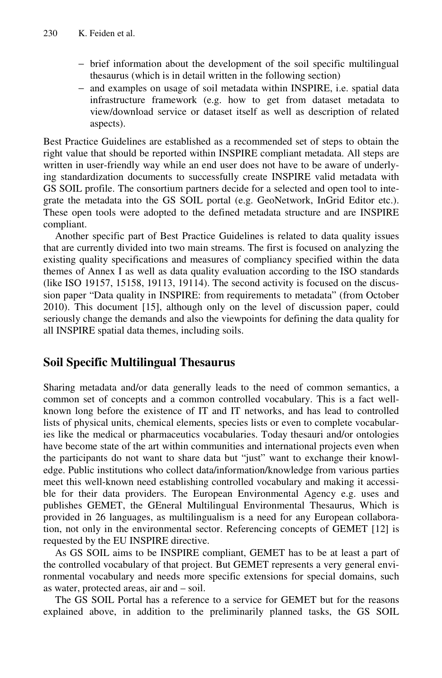- − brief information about the development of the soil specific multilingual thesaurus (which is in detail written in the following section)
- − and examples on usage of soil metadata within INSPIRE, i.e. spatial data infrastructure framework (e.g. how to get from dataset metadata to view/download service or dataset itself as well as description of related aspects).

Best Practice Guidelines are established as a recommended set of steps to obtain the right value that should be reported within INSPIRE compliant metadata. All steps are written in user-friendly way while an end user does not have to be aware of underlying standardization documents to successfully create INSPIRE valid metadata with GS SOIL profile. The consortium partners decide for a selected and open tool to integrate the metadata into the GS SOIL portal (e.g. GeoNetwork, InGrid Editor etc.). These open tools were adopted to the defined metadata structure and are INSPIRE compliant.

Another specific part of Best Practice Guidelines is related to data quality issues that are currently divided into two main streams. The first is focused on analyzing the existing quality specifications and measures of compliancy specified within the data themes of Annex I as well as data quality evaluation according to the ISO standards (like ISO 19157, 15158, 19113, 19114). The second activity is focused on the discussion paper "Data quality in INSPIRE: from requirements to metadata" (from October 2010). This document [15], although only on the level of discussion paper, could seriously change the demands and also the viewpoints for defining the data quality for all INSPIRE spatial data themes, including soils.

# **Soil Specific Multilingual Thesaurus**

Sharing metadata and/or data generally leads to the need of common semantics, a common set of concepts and a common controlled vocabulary. This is a fact wellknown long before the existence of IT and IT networks, and has lead to controlled lists of physical units, chemical elements, species lists or even to complete vocabularies like the medical or pharmaceutics vocabularies. Today thesauri and/or ontologies have become state of the art within communities and international projects even when the participants do not want to share data but "just" want to exchange their knowledge. Public institutions who collect data/information/knowledge from various parties meet this well-known need establishing controlled vocabulary and making it accessible for their data providers. The European Environmental Agency e.g. uses and publishes GEMET, the GEneral Multilingual Environmental Thesaurus, Which is provided in 26 languages, as multilingualism is a need for any European collaboration, not only in the environmental sector. Referencing concepts of GEMET [12] is requested by the EU INSPIRE directive.

As GS SOIL aims to be INSPIRE compliant, GEMET has to be at least a part of the controlled vocabulary of that project. But GEMET represents a very general environmental vocabulary and needs more specific extensions for special domains, such as water, protected areas, air and – soil.

The GS SOIL Portal has a reference to a service for GEMET but for the reasons explained above, in addition to the preliminarily planned tasks, the GS SOIL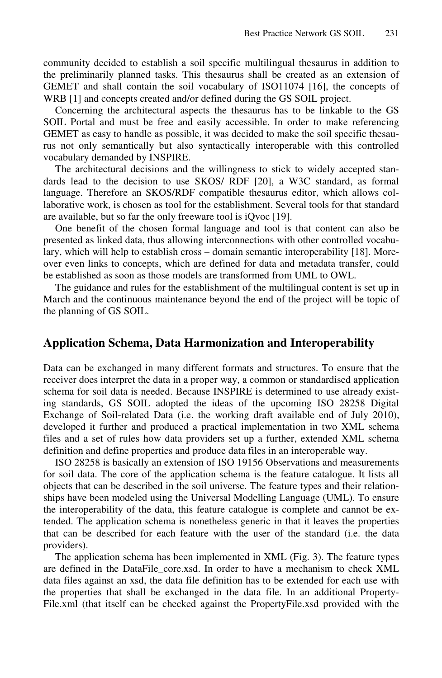community decided to establish a soil specific multilingual thesaurus in addition to the preliminarily planned tasks. This thesaurus shall be created as an extension of GEMET and shall contain the soil vocabulary of ISO11074 [16], the concepts of WRB [1] and concepts created and/or defined during the GS SOIL project.

Concerning the architectural aspects the thesaurus has to be linkable to the GS SOIL Portal and must be free and easily accessible. In order to make referencing GEMET as easy to handle as possible, it was decided to make the soil specific thesaurus not only semantically but also syntactically interoperable with this controlled vocabulary demanded by INSPIRE.

The architectural decisions and the willingness to stick to widely accepted standards lead to the decision to use SKOS/ RDF [20], a W3C standard, as formal language. Therefore an SKOS/RDF compatible thesaurus editor, which allows collaborative work, is chosen as tool for the establishment. Several tools for that standard are available, but so far the only freeware tool is iQvoc [19].

One benefit of the chosen formal language and tool is that content can also be presented as linked data, thus allowing interconnections with other controlled vocabulary, which will help to establish cross – domain semantic interoperability [18]. Moreover even links to concepts, which are defined for data and metadata transfer, could be established as soon as those models are transformed from UML to OWL.

The guidance and rules for the establishment of the multilingual content is set up in March and the continuous maintenance beyond the end of the project will be topic of the planning of GS SOIL.

## **Application Schema, Data Harmonization and Interoperability**

Data can be exchanged in many different formats and structures. To ensure that the receiver does interpret the data in a proper way, a common or standardised application schema for soil data is needed. Because INSPIRE is determined to use already existing standards, GS SOIL adopted the ideas of the upcoming ISO 28258 Digital Exchange of Soil-related Data (i.e. the working draft available end of July 2010), developed it further and produced a practical implementation in two XML schema files and a set of rules how data providers set up a further, extended XML schema definition and define properties and produce data files in an interoperable way.

ISO 28258 is basically an extension of ISO 19156 Observations and measurements for soil data. The core of the application schema is the feature catalogue. It lists all objects that can be described in the soil universe. The feature types and their relationships have been modeled using the Universal Modelling Language (UML). To ensure the interoperability of the data, this feature catalogue is complete and cannot be extended. The application schema is nonetheless generic in that it leaves the properties that can be described for each feature with the user of the standard (i.e. the data providers).

The application schema has been implemented in XML (Fig. 3). The feature types are defined in the DataFile\_core.xsd. In order to have a mechanism to check XML data files against an xsd, the data file definition has to be extended for each use with the properties that shall be exchanged in the data file. In an additional Property-File.xml (that itself can be checked against the PropertyFile.xsd provided with the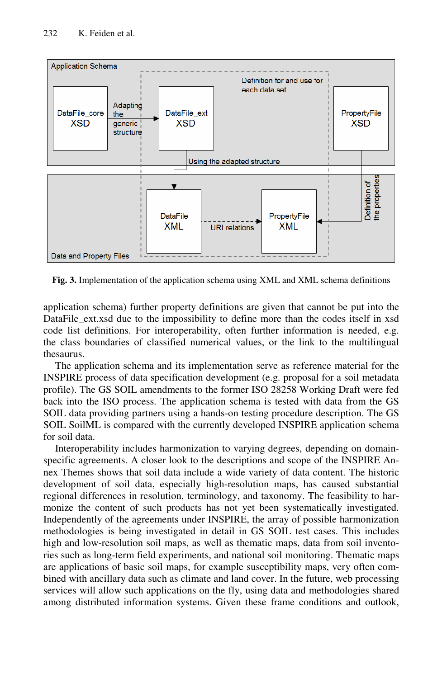

**Fig. 3.** Implementation of the application schema using XML and XML schema definitions

application schema) further property definitions are given that cannot be put into the DataFile\_ext.xsd due to the impossibility to define more than the codes itself in xsd code list definitions. For interoperability, often further information is needed, e.g. the class boundaries of classified numerical values, or the link to the multilingual thesaurus.

The application schema and its implementation serve as reference material for the INSPIRE process of data specification development (e.g. proposal for a soil metadata profile). The GS SOIL amendments to the former ISO 28258 Working Draft were fed back into the ISO process. The application schema is tested with data from the GS SOIL data providing partners using a hands-on testing procedure description. The GS SOIL SoilML is compared with the currently developed INSPIRE application schema for soil data.

Interoperability includes harmonization to varying degrees, depending on domainspecific agreements. A closer look to the descriptions and scope of the INSPIRE Annex Themes shows that soil data include a wide variety of data content. The historic development of soil data, especially high-resolution maps, has caused substantial regional differences in resolution, terminology, and taxonomy. The feasibility to harmonize the content of such products has not yet been systematically investigated. Independently of the agreements under INSPIRE, the array of possible harmonization methodologies is being investigated in detail in GS SOIL test cases. This includes high and low-resolution soil maps, as well as thematic maps, data from soil inventories such as long-term field experiments, and national soil monitoring. Thematic maps are applications of basic soil maps, for example susceptibility maps, very often combined with ancillary data such as climate and land cover. In the future, web processing services will allow such applications on the fly, using data and methodologies shared among distributed information systems. Given these frame conditions and outlook,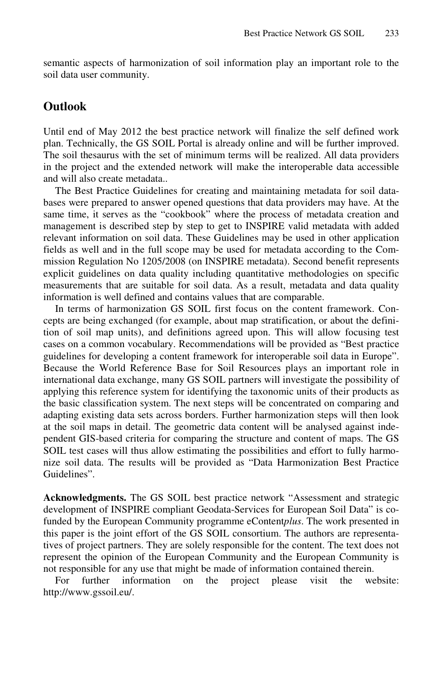semantic aspects of harmonization of soil information play an important role to the soil data user community.

#### **Outlook**

Until end of May 2012 the best practice network will finalize the self defined work plan. Technically, the GS SOIL Portal is already online and will be further improved. The soil thesaurus with the set of minimum terms will be realized. All data providers in the project and the extended network will make the interoperable data accessible and will also create metadata..

The Best Practice Guidelines for creating and maintaining metadata for soil databases were prepared to answer opened questions that data providers may have. At the same time, it serves as the "cookbook" where the process of metadata creation and management is described step by step to get to INSPIRE valid metadata with added relevant information on soil data. These Guidelines may be used in other application fields as well and in the full scope may be used for metadata according to the Commission Regulation No 1205/2008 (on INSPIRE metadata). Second benefit represents explicit guidelines on data quality including quantitative methodologies on specific measurements that are suitable for soil data. As a result, metadata and data quality information is well defined and contains values that are comparable.

In terms of harmonization GS SOIL first focus on the content framework. Concepts are being exchanged (for example, about map stratification, or about the definition of soil map units), and definitions agreed upon. This will allow focusing test cases on a common vocabulary. Recommendations will be provided as "Best practice guidelines for developing a content framework for interoperable soil data in Europe". Because the World Reference Base for Soil Resources plays an important role in international data exchange, many GS SOIL partners will investigate the possibility of applying this reference system for identifying the taxonomic units of their products as the basic classification system. The next steps will be concentrated on comparing and adapting existing data sets across borders. Further harmonization steps will then look at the soil maps in detail. The geometric data content will be analysed against independent GIS-based criteria for comparing the structure and content of maps. The GS SOIL test cases will thus allow estimating the possibilities and effort to fully harmonize soil data. The results will be provided as "Data Harmonization Best Practice Guidelines".

**Acknowledgments.** The GS SOIL best practice network "Assessment and strategic development of INSPIRE compliant Geodata-Services for European Soil Data" is cofunded by the European Community programme eContent*plus*. The work presented in this paper is the joint effort of the GS SOIL consortium. The authors are representatives of project partners. They are solely responsible for the content. The text does not represent the opinion of the European Community and the European Community is not responsible for any use that might be made of information contained therein.

For further information on the project please visit the website: http://www.gssoil.eu/.